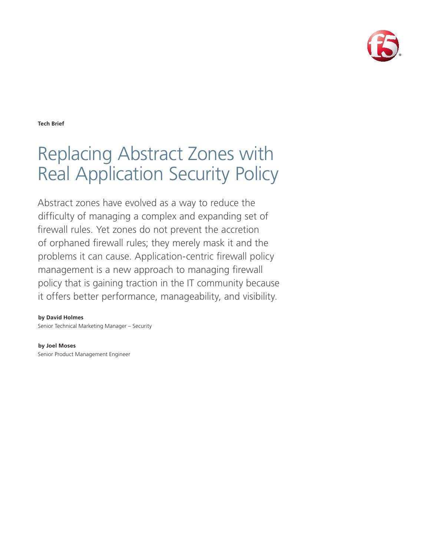

**Tech Brief**

# Replacing Abstract Zones with Real Application Security Policy

Abstract zones have evolved as a way to reduce the difficulty of managing a complex and expanding set of firewall rules. Yet zones do not prevent the accretion of orphaned firewall rules; they merely mask it and the problems it can cause. Application-centric firewall policy management is a new approach to managing firewall policy that is gaining traction in the IT community because it offers better performance, manageability, and visibility.

#### **by David Holmes**

Senior Technical Marketing Manager – Security

**by Joel Moses** Senior Product Management Engineer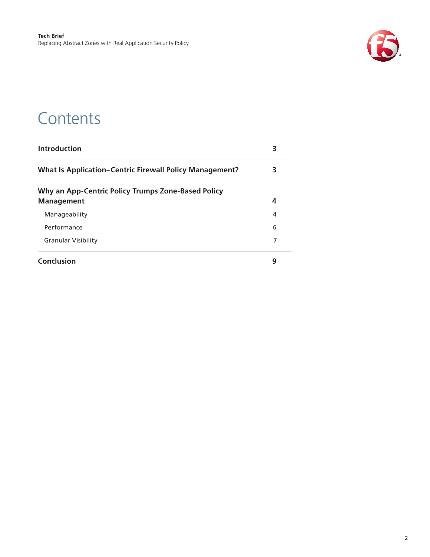

### **Contents**

| <b>Introduction</b>                                                     | 3 |
|-------------------------------------------------------------------------|---|
| <b>What Is Application-Centric Firewall Policy Management?</b>          | 3 |
| Why an App-Centric Policy Trumps Zone-Based Policy<br><b>Management</b> | 4 |
|                                                                         |   |
| Manageability                                                           | 4 |
| Performance                                                             | 6 |
| <b>Granular Visibility</b>                                              | 7 |
| Conclusion                                                              | 9 |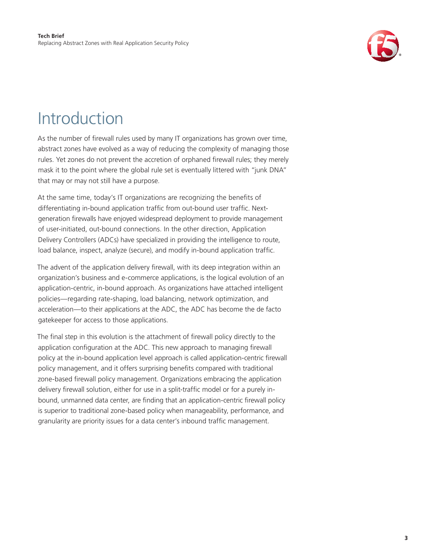

## <span id="page-2-0"></span>Introduction

As the number of firewall rules used by many IT organizations has grown over time, abstract zones have evolved as a way of reducing the complexity of managing those rules. Yet zones do not prevent the accretion of orphaned firewall rules; they merely mask it to the point where the global rule set is eventually littered with "junk DNA" that may or may not still have a purpose.

At the same time, today's IT organizations are recognizing the benefits of differentiating in-bound application traffic from out-bound user traffic. Nextgeneration firewalls have enjoyed widespread deployment to provide management of user-initiated, out-bound connections. In the other direction, Application Delivery Controllers (ADCs) have specialized in providing the intelligence to route, load balance, inspect, analyze (secure), and modify in-bound application traffic.

The advent of the application delivery firewall, with its deep integration within an organization's business and e-commerce applications, is the logical evolution of an application-centric, in-bound approach. As organizations have attached intelligent policies—regarding rate-shaping, load balancing, network optimization, and acceleration—to their applications at the ADC, the ADC has become the de facto gatekeeper for access to those applications.

The final step in this evolution is the attachment of firewall policy directly to the application configuration at the ADC. This new approach to managing firewall policy at the in-bound application level approach is called application-centric firewall policy management, and it offers surprising benefits compared with traditional zone-based firewall policy management. Organizations embracing the application delivery firewall solution, either for use in a split-traffic model or for a purely inbound, unmanned data center, are finding that an application-centric firewall policy is superior to traditional zone-based policy when manageability, performance, and granularity are priority issues for a data center's inbound traffic management.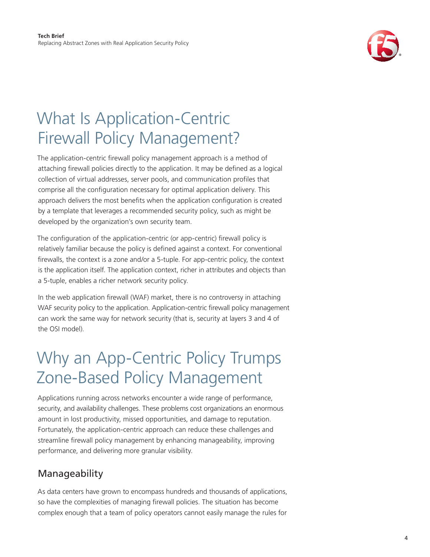

## <span id="page-3-0"></span>What Is Application-Centric Firewall Policy Management?

The application-centric firewall policy management approach is a method of attaching firewall policies directly to the application. It may be defined as a logical collection of virtual addresses, server pools, and communication profiles that comprise all the configuration necessary for optimal application delivery. This approach delivers the most benefits when the application configuration is created by a template that leverages a recommended security policy, such as might be developed by the organization's own security team.

The configuration of the application-centric (or app-centric) firewall policy is relatively familiar because the policy is defined against a context. For conventional firewalls, the context is a zone and/or a 5-tuple. For app-centric policy, the context is the application itself. The application context, richer in attributes and objects than a 5-tuple, enables a richer network security policy.

In the web application firewall (WAF) market, there is no controversy in attaching WAF security policy to the application. Application-centric firewall policy management can work the same way for network security (that is, security at layers 3 and 4 of the OSI model).

## Why an App-Centric Policy Trumps Zone-Based Policy Management

Applications running across networks encounter a wide range of performance, security, and availability challenges. These problems cost organizations an enormous amount in lost productivity, missed opportunities, and damage to reputation. Fortunately, the application-centric approach can reduce these challenges and streamline firewall policy management by enhancing manageability, improving performance, and delivering more granular visibility.

### Manageability

As data centers have grown to encompass hundreds and thousands of applications, so have the complexities of managing firewall policies. The situation has become complex enough that a team of policy operators cannot easily manage the rules for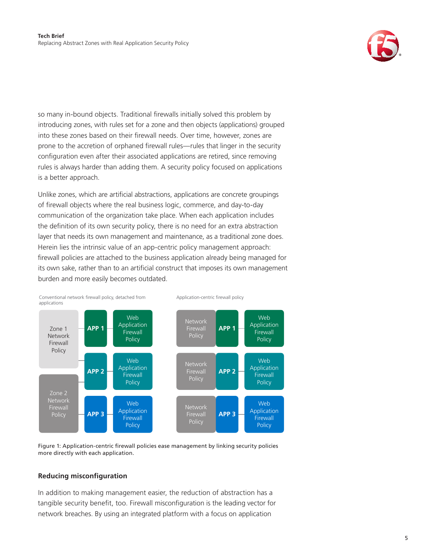

so many in-bound objects. Traditional firewalls initially solved this problem by introducing zones, with rules set for a zone and then objects (applications) grouped into these zones based on their firewall needs. Over time, however, zones are prone to the accretion of orphaned firewall rules—rules that linger in the security configuration even after their associated applications are retired, since removing rules is always harder than adding them. A security policy focused on applications is a better approach.

Unlike zones, which are artificial abstractions, applications are concrete groupings of firewall objects where the real business logic, commerce, and day-to-day communication of the organization take place. When each application includes the definition of its own security policy, there is no need for an extra abstraction layer that needs its own management and maintenance, as a traditional zone does. Herein lies the intrinsic value of an app-centric policy management approach: firewall policies are attached to the business application already being managed for its own sake, rather than to an artificial construct that imposes its own management burden and more easily becomes outdated.



Figure 1: Application-centric firewall policies ease management by linking security policies more directly with each application.

#### **Reducing misconfiguration**

In addition to making management easier, the reduction of abstraction has a tangible security benefit, too. Firewall misconfiguration is the leading vector for network breaches. By using an integrated platform with a focus on application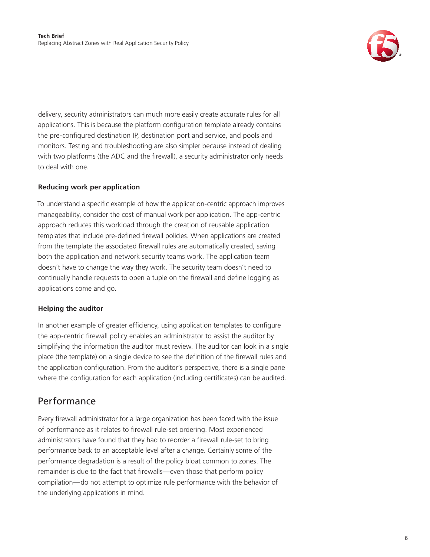

<span id="page-5-0"></span>delivery, security administrators can much more easily create accurate rules for all applications. This is because the platform configuration template already contains the pre-configured destination IP, destination port and service, and pools and monitors. Testing and troubleshooting are also simpler because instead of dealing with two platforms (the ADC and the firewall), a security administrator only needs to deal with one.

#### **Reducing work per application**

To understand a specific example of how the application-centric approach improves manageability, consider the cost of manual work per application. The app-centric approach reduces this workload through the creation of reusable application templates that include pre-defined firewall policies. When applications are created from the template the associated firewall rules are automatically created, saving both the application and network security teams work. The application team doesn't have to change the way they work. The security team doesn't need to continually handle requests to open a tuple on the firewall and define logging as applications come and go.

#### **Helping the auditor**

In another example of greater efficiency, using application templates to configure the app-centric firewall policy enables an administrator to assist the auditor by simplifying the information the auditor must review. The auditor can look in a single place (the template) on a single device to see the definition of the firewall rules and the application configuration. From the auditor's perspective, there is a single pane where the configuration for each application (including certificates) can be audited.

### Performance

Every firewall administrator for a large organization has been faced with the issue of performance as it relates to firewall rule-set ordering. Most experienced administrators have found that they had to reorder a firewall rule-set to bring performance back to an acceptable level after a change. Certainly some of the performance degradation is a result of the policy bloat common to zones. The remainder is due to the fact that firewalls—even those that perform policy compilation—do not attempt to optimize rule performance with the behavior of the underlying applications in mind.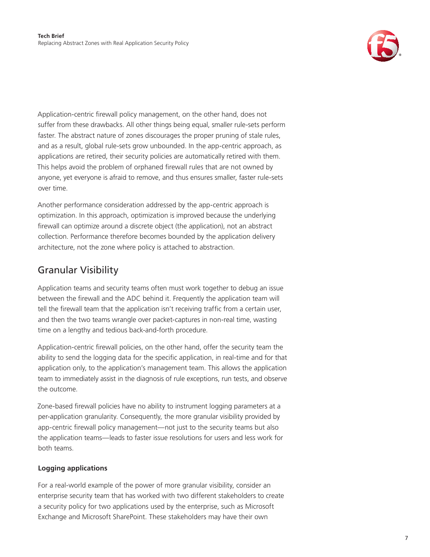

<span id="page-6-0"></span>Application-centric firewall policy management, on the other hand, does not suffer from these drawbacks. All other things being equal, smaller rule-sets perform faster. The abstract nature of zones discourages the proper pruning of stale rules, and as a result, global rule-sets grow unbounded. In the app-centric approach, as applications are retired, their security policies are automatically retired with them. This helps avoid the problem of orphaned firewall rules that are not owned by anyone, yet everyone is afraid to remove, and thus ensures smaller, faster rule-sets over time.

Another performance consideration addressed by the app-centric approach is optimization. In this approach, optimization is improved because the underlying firewall can optimize around a discrete object (the application), not an abstract collection. Performance therefore becomes bounded by the application delivery architecture, not the zone where policy is attached to abstraction.

### Granular Visibility

Application teams and security teams often must work together to debug an issue between the firewall and the ADC behind it. Frequently the application team will tell the firewall team that the application isn't receiving traffic from a certain user, and then the two teams wrangle over packet-captures in non-real time, wasting time on a lengthy and tedious back-and-forth procedure.

Application-centric firewall policies, on the other hand, offer the security team the ability to send the logging data for the specific application, in real-time and for that application only, to the application's management team. This allows the application team to immediately assist in the diagnosis of rule exceptions, run tests, and observe the outcome.

Zone-based firewall policies have no ability to instrument logging parameters at a per-application granularity. Consequently, the more granular visibility provided by app-centric firewall policy management—not just to the security teams but also the application teams—leads to faster issue resolutions for users and less work for both teams.

### **Logging applications**

For a real-world example of the power of more granular visibility, consider an enterprise security team that has worked with two different stakeholders to create a security policy for two applications used by the enterprise, such as Microsoft Exchange and Microsoft SharePoint. These stakeholders may have their own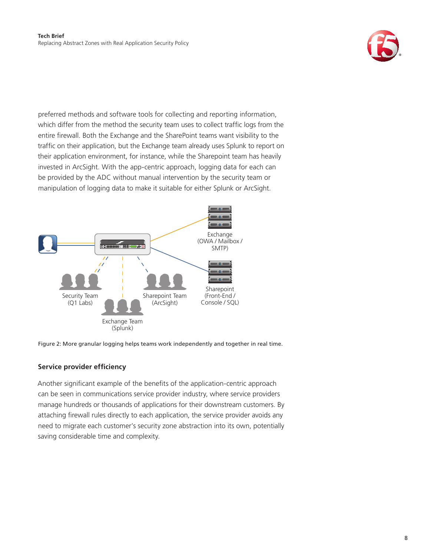

preferred methods and software tools for collecting and reporting information, which differ from the method the security team uses to collect traffic logs from the entire firewall. Both the Exchange and the SharePoint teams want visibility to the traffic on their application, but the Exchange team already uses Splunk to report on their application environment, for instance, while the Sharepoint team has heavily invested in ArcSight. With the app-centric approach, logging data for each can be provided by the ADC without manual intervention by the security team or manipulation of logging data to make it suitable for either Splunk or ArcSight.



Figure 2: More granular logging helps teams work independently and together in real time.

#### **Service provider efficiency**

Another significant example of the benefits of the application-centric approach can be seen in communications service provider industry, where service providers manage hundreds or thousands of applications for their downstream customers. By attaching firewall rules directly to each application, the service provider avoids any need to migrate each customer's security zone abstraction into its own, potentially saving considerable time and complexity.